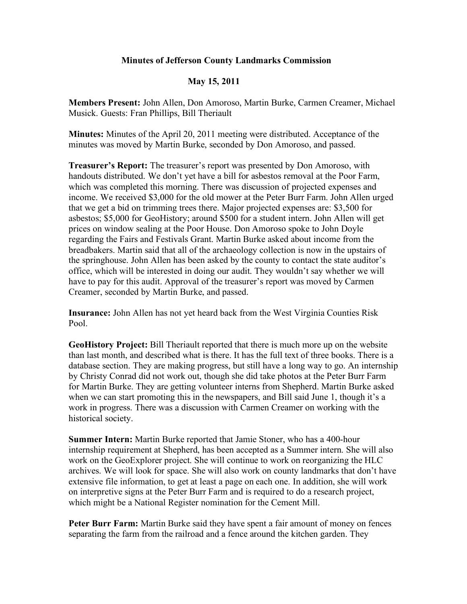## **Minutes of Jefferson County Landmarks Commission**

## **May 15, 2011**

**Members Present:** John Allen, Don Amoroso, Martin Burke, Carmen Creamer, Michael Musick. Guests: Fran Phillips, Bill Theriault

**Minutes:** Minutes of the April 20, 2011 meeting were distributed. Acceptance of the minutes was moved by Martin Burke, seconded by Don Amoroso, and passed.

**Treasurer's Report:** The treasurer's report was presented by Don Amoroso, with handouts distributed. We don't yet have a bill for asbestos removal at the Poor Farm, which was completed this morning. There was discussion of projected expenses and income. We received \$3,000 for the old mower at the Peter Burr Farm. John Allen urged that we get a bid on trimming trees there. Major projected expenses are: \$3,500 for asbestos; \$5,000 for GeoHistory; around \$500 for a student intern. John Allen will get prices on window sealing at the Poor House. Don Amoroso spoke to John Doyle regarding the Fairs and Festivals Grant. Martin Burke asked about income from the breadbakers. Martin said that all of the archaeology collection is now in the upstairs of the springhouse. John Allen has been asked by the county to contact the state auditor's office, which will be interested in doing our audit. They wouldn't say whether we will have to pay for this audit. Approval of the treasurer's report was moved by Carmen Creamer, seconded by Martin Burke, and passed.

**Insurance:** John Allen has not yet heard back from the West Virginia Counties Risk Pool.

**GeoHistory Project:** Bill Theriault reported that there is much more up on the website than last month, and described what is there. It has the full text of three books. There is a database section. They are making progress, but still have a long way to go. An internship by Christy Conrad did not work out, though she did take photos at the Peter Burr Farm for Martin Burke. They are getting volunteer interns from Shepherd. Martin Burke asked when we can start promoting this in the newspapers, and Bill said June 1, though it's a work in progress. There was a discussion with Carmen Creamer on working with the historical society.

**Summer Intern:** Martin Burke reported that Jamie Stoner, who has a 400-hour internship requirement at Shepherd, has been accepted as a Summer intern. She will also work on the GeoExplorer project. She will continue to work on reorganizing the HLC archives. We will look for space. She will also work on county landmarks that don't have extensive file information, to get at least a page on each one. In addition, she will work on interpretive signs at the Peter Burr Farm and is required to do a research project, which might be a National Register nomination for the Cement Mill.

**Peter Burr Farm:** Martin Burke said they have spent a fair amount of money on fences separating the farm from the railroad and a fence around the kitchen garden. They